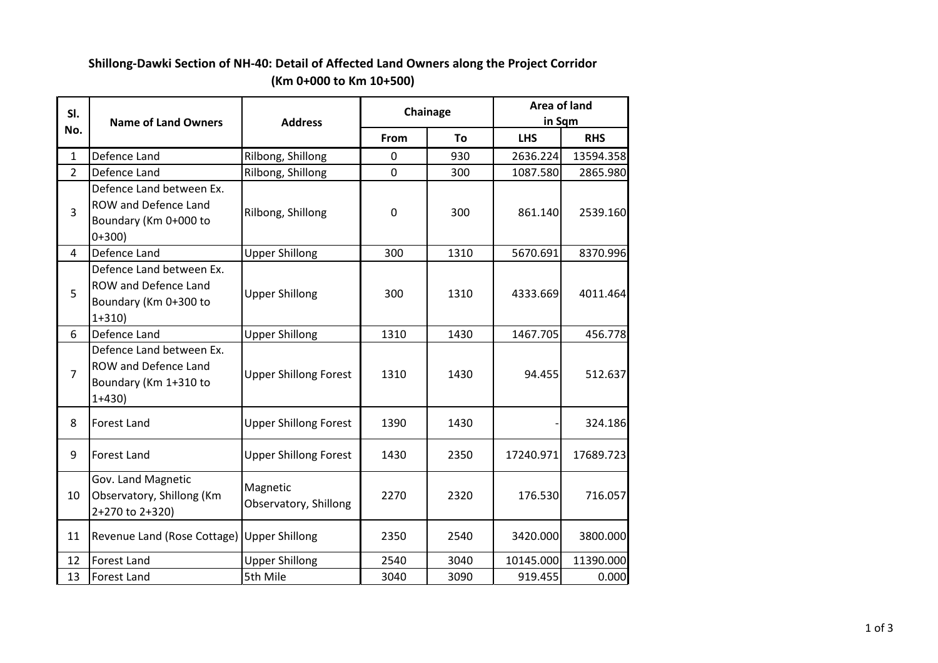## **Shillong-Dawki Section of NH-40: Detail of Affected Land Owners along the Project Corridor (Km 0+000 to Km 10+500)**

| SI.            | <b>Name of Land Owners</b>                                                           | <b>Address</b>                    | Chainage    |      | Area of land<br>in Sqm |            |
|----------------|--------------------------------------------------------------------------------------|-----------------------------------|-------------|------|------------------------|------------|
| No.            |                                                                                      |                                   | From        | To   | <b>LHS</b>             | <b>RHS</b> |
| $\mathbf{1}$   | Defence Land                                                                         | Rilbong, Shillong                 | $\mathbf 0$ | 930  | 2636.224               | 13594.358  |
| $\overline{2}$ | Defence Land                                                                         | Rilbong, Shillong                 | $\mathbf 0$ | 300  | 1087.580               | 2865.980   |
| 3              | Defence Land between Ex.<br>ROW and Defence Land<br>Boundary (Km 0+000 to<br>$0+300$ | Rilbong, Shillong                 | $\mathbf 0$ | 300  | 861.140                | 2539.160   |
| $\overline{4}$ | Defence Land                                                                         | <b>Upper Shillong</b>             | 300         | 1310 | 5670.691               | 8370.996   |
| 5              | Defence Land between Ex.<br>ROW and Defence Land<br>Boundary (Km 0+300 to<br>$1+310$ | <b>Upper Shillong</b>             | 300         | 1310 | 4333.669               | 4011.464   |
| 6              | Defence Land                                                                         | <b>Upper Shillong</b>             | 1310        | 1430 | 1467.705               | 456.778    |
| $\overline{7}$ | Defence Land between Ex.<br>ROW and Defence Land<br>Boundary (Km 1+310 to<br>$1+430$ | <b>Upper Shillong Forest</b>      | 1310        | 1430 | 94.455                 | 512.637    |
| 8              | <b>Forest Land</b>                                                                   | <b>Upper Shillong Forest</b>      | 1390        | 1430 |                        | 324.186    |
| 9              | Forest Land                                                                          | <b>Upper Shillong Forest</b>      | 1430        | 2350 | 17240.971              | 17689.723  |
| 10             | Gov. Land Magnetic<br>Observatory, Shillong (Km<br>2+270 to 2+320)                   | Magnetic<br>Observatory, Shillong | 2270        | 2320 | 176.530                | 716.057    |
| 11             | Revenue Land (Rose Cottage)                                                          | <b>Upper Shillong</b>             | 2350        | 2540 | 3420.000               | 3800.000   |
| 12             | <b>Forest Land</b>                                                                   | <b>Upper Shillong</b>             | 2540        | 3040 | 10145.000              | 11390.000  |
| 13             | Forest Land                                                                          | 5th Mile                          | 3040        | 3090 | 919.455                | 0.000      |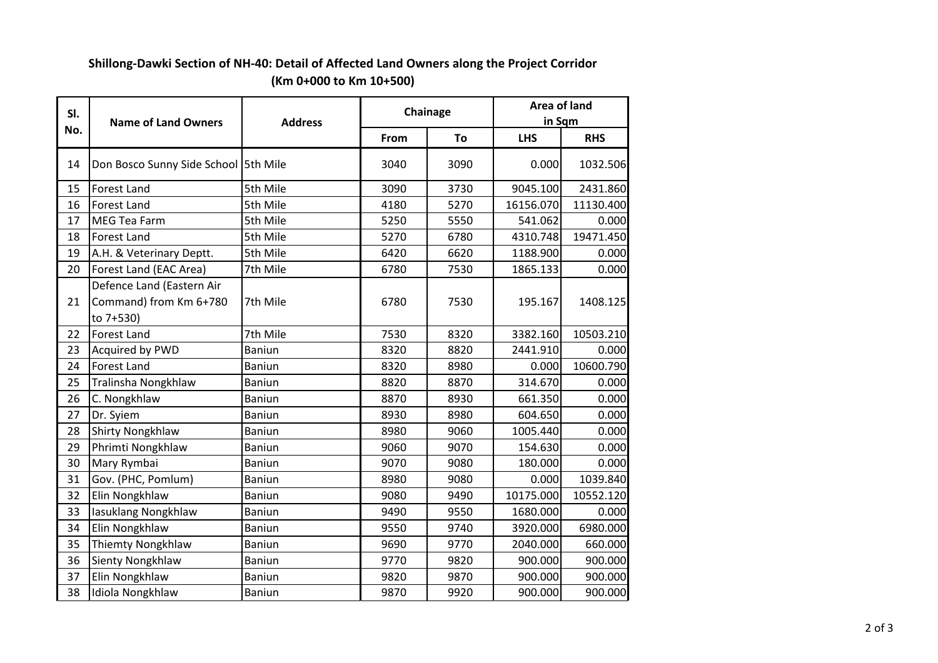## **Shillong-Dawki Section of NH-40: Detail of Affected Land Owners along the Project Corridor (Km 0+000 to Km 10+500)**

| SI.<br>No. | <b>Name of Land Owners</b>                                       | <b>Address</b> | Chainage |      | Area of land<br>in Sqm |            |
|------------|------------------------------------------------------------------|----------------|----------|------|------------------------|------------|
|            |                                                                  |                | From     | To   | <b>LHS</b>             | <b>RHS</b> |
| 14         | Don Bosco Sunny Side School 5th Mile                             |                | 3040     | 3090 | 0.000                  | 1032.506   |
| 15         | Forest Land                                                      | 5th Mile       | 3090     | 3730 | 9045.100               | 2431.860   |
| 16         | <b>Forest Land</b>                                               | 5th Mile       | 4180     | 5270 | 16156.070              | 11130.400  |
| 17         | <b>MEG Tea Farm</b>                                              | 5th Mile       | 5250     | 5550 | 541.062                | 0.000      |
| 18         | <b>Forest Land</b>                                               | 5th Mile       | 5270     | 6780 | 4310.748               | 19471.450  |
| 19         | A.H. & Veterinary Deptt.                                         | 5th Mile       | 6420     | 6620 | 1188.900               | 0.000      |
| 20         | Forest Land (EAC Area)                                           | 7th Mile       | 6780     | 7530 | 1865.133               | 0.000      |
| 21         | Defence Land (Eastern Air<br>Command) from Km 6+780<br>to 7+530) | 7th Mile       | 6780     | 7530 | 195.167                | 1408.125   |
| 22         | <b>Forest Land</b>                                               | 7th Mile       | 7530     | 8320 | 3382.160               | 10503.210  |
| 23         | Acquired by PWD                                                  | <b>Baniun</b>  | 8320     | 8820 | 2441.910               | 0.000      |
| 24         | <b>Forest Land</b>                                               | Baniun         | 8320     | 8980 | 0.000                  | 10600.790  |
| 25         | Tralinsha Nongkhlaw                                              | Baniun         | 8820     | 8870 | 314.670                | 0.000      |
| 26         | C. Nongkhlaw                                                     | <b>Baniun</b>  | 8870     | 8930 | 661.350                | 0.000      |
| 27         | Dr. Syiem                                                        | <b>Baniun</b>  | 8930     | 8980 | 604.650                | 0.000      |
| 28         | <b>Shirty Nongkhlaw</b>                                          | <b>Baniun</b>  | 8980     | 9060 | 1005.440               | 0.000      |
| 29         | Phrimti Nongkhlaw                                                | <b>Baniun</b>  | 9060     | 9070 | 154.630                | 0.000      |
| 30         | Mary Rymbai                                                      | Baniun         | 9070     | 9080 | 180.000                | 0.000      |
| 31         | Gov. (PHC, Pomlum)                                               | Baniun         | 8980     | 9080 | 0.000                  | 1039.840   |
| 32         | Elin Nongkhlaw                                                   | <b>Baniun</b>  | 9080     | 9490 | 10175.000              | 10552.120  |
| 33         | lasuklang Nongkhlaw                                              | Baniun         | 9490     | 9550 | 1680.000               | 0.000      |
| 34         | Elin Nongkhlaw                                                   | <b>Baniun</b>  | 9550     | 9740 | 3920.000               | 6980.000   |
| 35         | Thiemty Nongkhlaw                                                | Baniun         | 9690     | 9770 | 2040.000               | 660.000    |
| 36         | Sienty Nongkhlaw                                                 | <b>Baniun</b>  | 9770     | 9820 | 900.000                | 900.000    |
| 37         | Elin Nongkhlaw                                                   | Baniun         | 9820     | 9870 | 900.000                | 900.000    |
| 38         | Idiola Nongkhlaw                                                 | Baniun         | 9870     | 9920 | 900.000                | 900.000    |